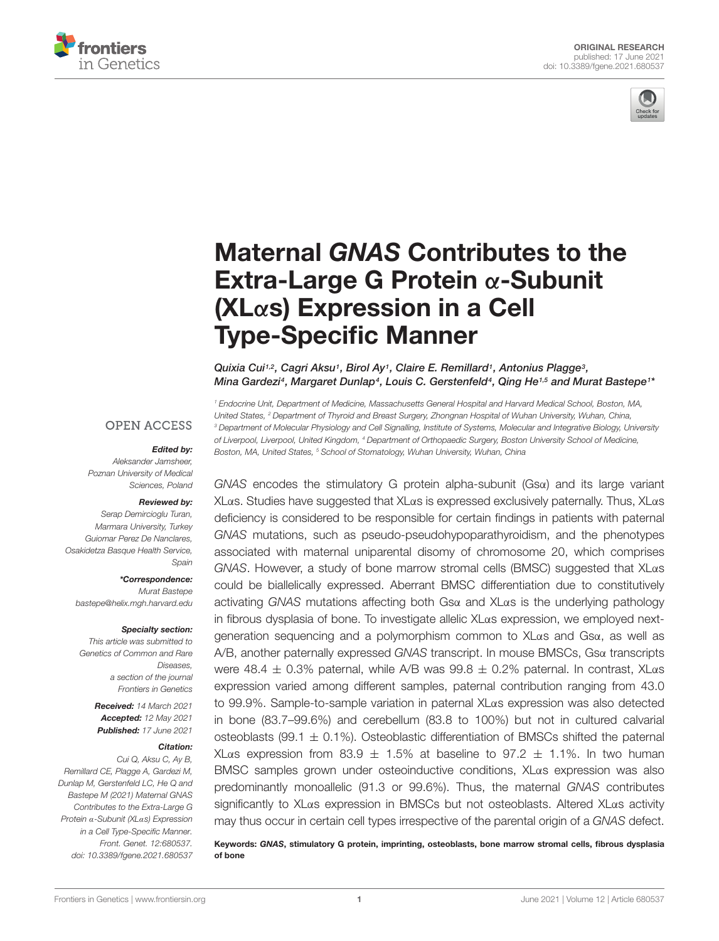



# Maternal GNAS Contributes to the Extra-Large G Protein α-Subunit (XLα[s\) Expression in a Cell](https://www.frontiersin.org/articles/10.3389/fgene.2021.680537/full) Type-Specific Manner

Quixia Cui<sup>1,2</sup>, Cagri Aksu<sup>1</sup>, Birol Ay<sup>1</sup>, Claire E. Remillard<sup>1</sup>, Antonius Plagge<sup>3</sup>, Mina Gardezi<sup>4</sup>, Margaret Dunlap<sup>4</sup>, Louis C. Gerstenfeld<sup>4</sup>, Qing He<sup>1,5</sup> and Murat Bastepe1\*

<sup>1</sup> Endocrine Unit, Department of Medicine, Massachusetts General Hospital and Harvard Medical School, Boston, MA, United States, <sup>2</sup> Department of Thyroid and Breast Surgery, Zhongnan Hospital of Wuhan University, Wuhan, China, <sup>3</sup> Department of Molecular Physiology and Cell Signalling, Institute of Systems, Molecular and Integrative Biology, University of Liverpool, Liverpool, United Kingdom, <sup>4</sup> Department of Orthopaedic Surgery, Boston University School of Medicine, Boston, MA, United States, <sup>5</sup> School of Stomatology, Wuhan University, Wuhan, China

**OPEN ACCESS** 

#### Edited by:

Aleksander Jamsheer, Poznan University of Medical Sciences, Poland

#### Reviewed by:

Serap Demircioglu Turan, Marmara University, Turkey Guiomar Perez De Nanclares, Osakidetza Basque Health Service, Spain

\*Correspondence:

Murat Bastepe bastepe@helix.mgh.harvard.edu

#### Specialty section:

This article was submitted to Genetics of Common and Rare Diseases, a section of the journal Frontiers in Genetics

> Received: 14 March 2021 Accepted: 12 May 2021 Published: 17 June 2021

#### Citation:

Cui Q, Aksu C, Ay B, Remillard CE, Plagge A, Gardezi M, Dunlap M, Gerstenfeld LC, He Q and Bastepe M (2021) Maternal GNAS Contributes to the Extra-Large G Protein α-Subunit (XLαs) Expression in a Cell Type-Specific Manner. Front. Genet. 12:680537. doi: [10.3389/fgene.2021.680537](https://doi.org/10.3389/fgene.2021.680537)

 $GNAS$  encodes the stimulatory G protein alpha-subunit  $(Gsa)$  and its large variant XLαs. Studies have suggested that XLαs is expressed exclusively paternally. Thus, XLαs deficiency is considered to be responsible for certain findings in patients with paternal GNAS mutations, such as pseudo-pseudohypoparathyroidism, and the phenotypes associated with maternal uniparental disomy of chromosome 20, which comprises GNAS. However, a study of bone marrow stromal cells (BMSC) suggested that XLαs could be biallelically expressed. Aberrant BMSC differentiation due to constitutively activating GNAS mutations affecting both Gsα and XLαs is the underlying pathology in fibrous dysplasia of bone. To investigate allelic XLαs expression, we employed nextgeneration sequencing and a polymorphism common to XLαs and Gsα, as well as A/B, another paternally expressed GNAS transcript. In mouse BMSCs, Gsα transcripts were 48.4  $\pm$  0.3% paternal, while A/B was 99.8  $\pm$  0.2% paternal. In contrast, XL $\alpha$ s expression varied among different samples, paternal contribution ranging from 43.0 to 99.9%. Sample-to-sample variation in paternal XLαs expression was also detected in bone (83.7–99.6%) and cerebellum (83.8 to 100%) but not in cultured calvarial osteoblasts (99.1  $\pm$  0.1%). Osteoblastic differentiation of BMSCs shifted the paternal XLαs expression from 83.9  $\pm$  1.5% at baseline to 97.2  $\pm$  1.1%. In two human BMSC samples grown under osteoinductive conditions, XLαs expression was also predominantly monoallelic (91.3 or 99.6%). Thus, the maternal GNAS contributes significantly to XLαs expression in BMSCs but not osteoblasts. Altered XLαs activity may thus occur in certain cell types irrespective of the parental origin of a GNAS defect.

Keywords: GNAS, stimulatory G protein, imprinting, osteoblasts, bone marrow stromal cells, fibrous dysplasia of bone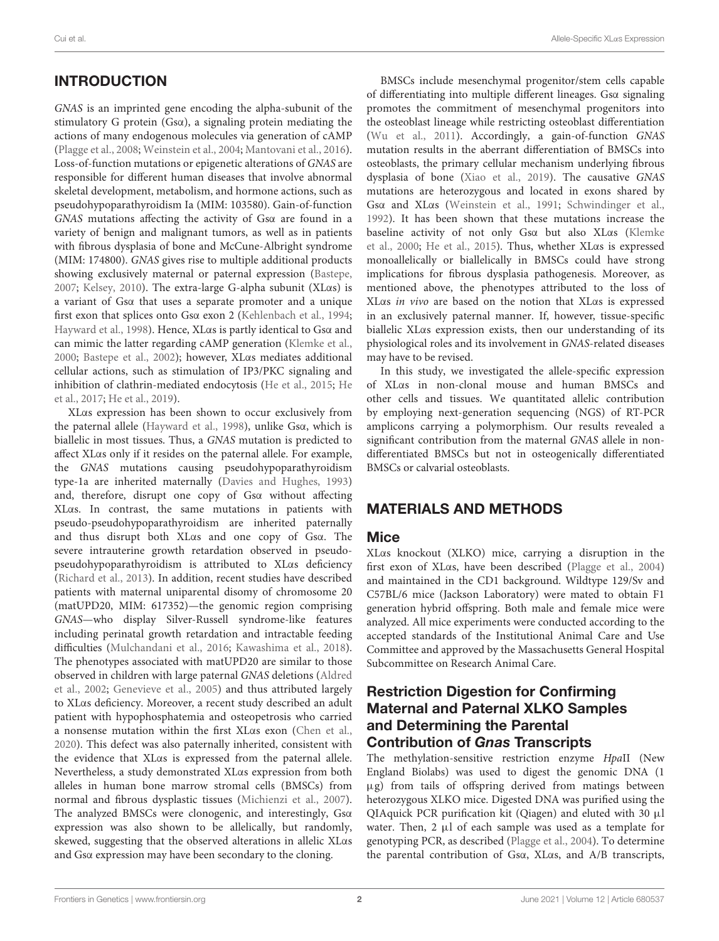# **INTRODUCTION**

GNAS is an imprinted gene encoding the alpha-subunit of the stimulatory G protein (Gsα), a signaling protein mediating the actions of many endogenous molecules via generation of cAMP [\(Plagge et al.,](#page-9-0) [2008;](#page-9-0) [Weinstein et al.,](#page-9-1) [2004;](#page-9-1) [Mantovani et al.,](#page-9-2) [2016\)](#page-9-2). Loss-of-function mutations or epigenetic alterations of GNAS are responsible for different human diseases that involve abnormal skeletal development, metabolism, and hormone actions, such as pseudohypoparathyroidism Ia (MIM: 103580). Gain-of-function GNAS mutations affecting the activity of Gsα are found in a variety of benign and malignant tumors, as well as in patients with fibrous dysplasia of bone and McCune-Albright syndrome (MIM: 174800). GNAS gives rise to multiple additional products showing exclusively maternal or paternal expression [\(Bastepe,](#page-8-0) [2007;](#page-8-0) [Kelsey,](#page-9-3) [2010\)](#page-9-3). The extra-large G-alpha subunit (XLαs) is a variant of Gsα that uses a separate promoter and a unique first exon that splices onto Gsα exon 2 [\(Kehlenbach et al.,](#page-9-4) [1994;](#page-9-4) [Hayward et al.,](#page-9-5) [1998\)](#page-9-5). Hence, XLαs is partly identical to Gsα and can mimic the latter regarding cAMP generation [\(Klemke et al.,](#page-9-6) [2000;](#page-9-6) [Bastepe et al.,](#page-8-1) [2002\)](#page-8-1); however, XLαs mediates additional cellular actions, such as stimulation of IP3/PKC signaling and inhibition of clathrin-mediated endocytosis [\(He et al.,](#page-9-7) [2015;](#page-9-7) [He](#page-9-8) [et al.,](#page-9-8) [2017;](#page-9-8) [He et al.,](#page-9-9) [2019\)](#page-9-9).

XLαs expression has been shown to occur exclusively from the paternal allele [\(Hayward et al.,](#page-9-5) [1998\)](#page-9-5), unlike Gsα, which is biallelic in most tissues. Thus, a GNAS mutation is predicted to affect XLαs only if it resides on the paternal allele. For example, the GNAS mutations causing pseudohypoparathyroidism type-1a are inherited maternally [\(Davies and Hughes,](#page-9-10) [1993\)](#page-9-10) and, therefore, disrupt one copy of Gsα without affecting XLαs. In contrast, the same mutations in patients with pseudo-pseudohypoparathyroidism are inherited paternally and thus disrupt both XLαs and one copy of Gsα. The severe intrauterine growth retardation observed in pseudopseudohypoparathyroidism is attributed to XLαs deficiency [\(Richard et al.,](#page-9-11) [2013\)](#page-9-11). In addition, recent studies have described patients with maternal uniparental disomy of chromosome 20 (matUPD20, MIM: 617352)—the genomic region comprising GNAS—who display Silver-Russell syndrome-like features including perinatal growth retardation and intractable feeding difficulties [\(Mulchandani et al.,](#page-9-12) [2016;](#page-9-12) [Kawashima et al.,](#page-9-13) [2018\)](#page-9-13). The phenotypes associated with matUPD20 are similar to those observed in children with large paternal GNAS deletions [\(Aldred](#page-8-2) [et al.,](#page-8-2) [2002;](#page-8-2) [Genevieve et al.,](#page-9-14) [2005\)](#page-9-14) and thus attributed largely to XLαs deficiency. Moreover, a recent study described an adult patient with hypophosphatemia and osteopetrosis who carried a nonsense mutation within the first XLαs exon [\(Chen et al.,](#page-8-3) [2020\)](#page-8-3). This defect was also paternally inherited, consistent with the evidence that XLαs is expressed from the paternal allele. Nevertheless, a study demonstrated XLαs expression from both alleles in human bone marrow stromal cells (BMSCs) from normal and fibrous dysplastic tissues [\(Michienzi et al.,](#page-9-15) [2007\)](#page-9-15). The analyzed BMSCs were clonogenic, and interestingly, Gsα expression was also shown to be allelically, but randomly, skewed, suggesting that the observed alterations in allelic XLαs and Gsα expression may have been secondary to the cloning.

BMSCs include mesenchymal progenitor/stem cells capable of differentiating into multiple different lineages. Gsα signaling promotes the commitment of mesenchymal progenitors into the osteoblast lineage while restricting osteoblast differentiation [\(Wu et al.,](#page-9-16) [2011\)](#page-9-16). Accordingly, a gain-of-function GNAS mutation results in the aberrant differentiation of BMSCs into osteoblasts, the primary cellular mechanism underlying fibrous dysplasia of bone [\(Xiao et al.,](#page-9-17) [2019\)](#page-9-17). The causative GNAS mutations are heterozygous and located in exons shared by Gsα and XLαs [\(Weinstein et al.,](#page-9-18) [1991;](#page-9-18) [Schwindinger et al.,](#page-9-19) [1992\)](#page-9-19). It has been shown that these mutations increase the baseline activity of not only Gsα but also XLαs [\(Klemke](#page-9-6) [et al.,](#page-9-6) [2000;](#page-9-6) [He et al.,](#page-9-7) [2015\)](#page-9-7). Thus, whether XLαs is expressed monoallelically or biallelically in BMSCs could have strong implications for fibrous dysplasia pathogenesis. Moreover, as mentioned above, the phenotypes attributed to the loss of XLαs in vivo are based on the notion that XLαs is expressed in an exclusively paternal manner. If, however, tissue-specific biallelic XLαs expression exists, then our understanding of its physiological roles and its involvement in GNAS-related diseases may have to be revised.

In this study, we investigated the allele-specific expression of XLαs in non-clonal mouse and human BMSCs and other cells and tissues. We quantitated allelic contribution by employing next-generation sequencing (NGS) of RT-PCR amplicons carrying a polymorphism. Our results revealed a significant contribution from the maternal GNAS allele in nondifferentiated BMSCs but not in osteogenically differentiated BMSCs or calvarial osteoblasts.

#### MATERIALS AND METHODS

#### **Mice**

XLαs knockout (XLKO) mice, carrying a disruption in the first exon of XLαs, have been described [\(Plagge et al.,](#page-9-20) [2004\)](#page-9-20) and maintained in the CD1 background. Wildtype 129/Sv and C57BL/6 mice (Jackson Laboratory) were mated to obtain F1 generation hybrid offspring. Both male and female mice were analyzed. All mice experiments were conducted according to the accepted standards of the Institutional Animal Care and Use Committee and approved by the Massachusetts General Hospital Subcommittee on Research Animal Care.

## Restriction Digestion for Confirming Maternal and Paternal XLKO Samples and Determining the Parental Contribution of Gnas Transcripts

The methylation-sensitive restriction enzyme HpaII (New England Biolabs) was used to digest the genomic DNA (1 µg) from tails of offspring derived from matings between heterozygous XLKO mice. Digested DNA was purified using the QIAquick PCR purification kit (Qiagen) and eluted with 30 µl water. Then,  $2 \mu l$  of each sample was used as a template for genotyping PCR, as described [\(Plagge et al.,](#page-9-20) [2004\)](#page-9-20). To determine the parental contribution of Gsα, XLαs, and A/B transcripts,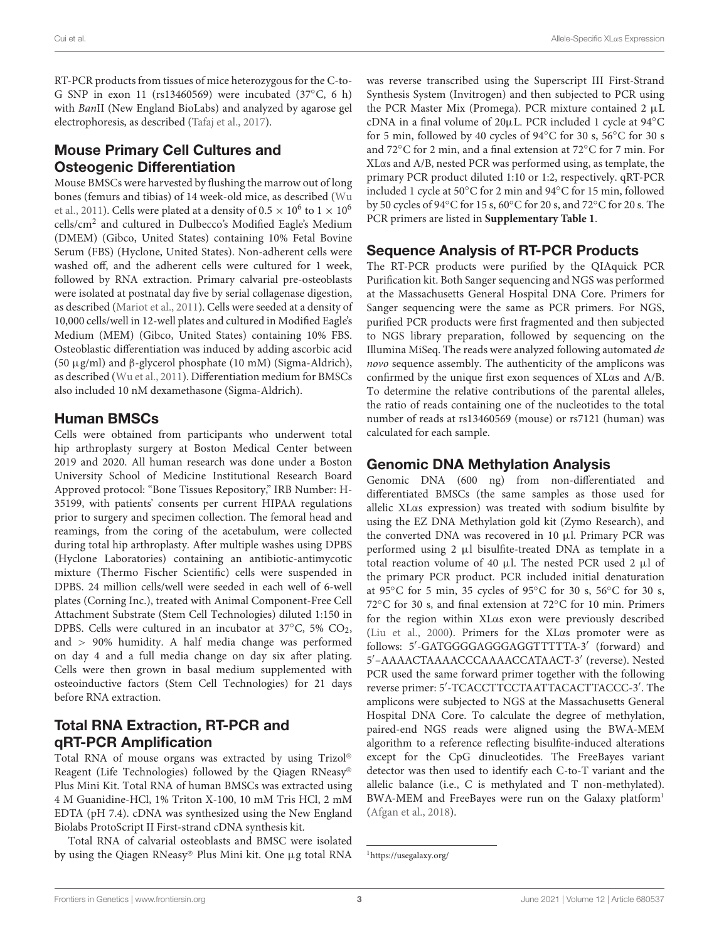RT-PCR products from tissues of mice heterozygous for the C-to-G SNP in exon 11 (rs13460569) were incubated (37◦C, 6 h) with BanII (New England BioLabs) and analyzed by agarose gel electrophoresis, as described [\(Tafaj et al.,](#page-9-21) [2017\)](#page-9-21).

# Mouse Primary Cell Cultures and Osteogenic Differentiation

Mouse BMSCs were harvested by flushing the marrow out of long bones (femurs and tibias) of 14 week-old mice, as described [\(Wu](#page-9-16) [et al.,](#page-9-16) [2011\)](#page-9-16). Cells were plated at a density of 0.5  $\times$  10<sup>6</sup> to 1  $\times$  10<sup>6</sup> cells/cm<sup>2</sup> and cultured in Dulbecco's Modified Eagle's Medium (DMEM) (Gibco, United States) containing 10% Fetal Bovine Serum (FBS) (Hyclone, United States). Non-adherent cells were washed off, and the adherent cells were cultured for 1 week, followed by RNA extraction. Primary calvarial pre-osteoblasts were isolated at postnatal day five by serial collagenase digestion, as described [\(Mariot et al.,](#page-9-22) [2011\)](#page-9-22). Cells were seeded at a density of 10,000 cells/well in 12-well plates and cultured in Modified Eagle's Medium (MEM) (Gibco, United States) containing 10% FBS. Osteoblastic differentiation was induced by adding ascorbic acid (50 µg/ml) and β-glycerol phosphate (10 mM) (Sigma-Aldrich), as described [\(Wu et al.,](#page-9-16) [2011\)](#page-9-16). Differentiation medium for BMSCs also included 10 nM dexamethasone (Sigma-Aldrich).

# Human BMSCs

Cells were obtained from participants who underwent total hip arthroplasty surgery at Boston Medical Center between 2019 and 2020. All human research was done under a Boston University School of Medicine Institutional Research Board Approved protocol: "Bone Tissues Repository," IRB Number: H-35199, with patients' consents per current HIPAA regulations prior to surgery and specimen collection. The femoral head and reamings, from the coring of the acetabulum, were collected during total hip arthroplasty. After multiple washes using DPBS (Hyclone Laboratories) containing an antibiotic-antimycotic mixture (Thermo Fischer Scientific) cells were suspended in DPBS. 24 million cells/well were seeded in each well of 6-well plates (Corning Inc.), treated with Animal Component-Free Cell Attachment Substrate (Stem Cell Technologies) diluted 1:150 in DPBS. Cells were cultured in an incubator at 37℃, 5% CO<sub>2</sub>, and > 90% humidity. A half media change was performed on day 4 and a full media change on day six after plating. Cells were then grown in basal medium supplemented with osteoinductive factors (Stem Cell Technologies) for 21 days before RNA extraction.

# Total RNA Extraction, RT-PCR and qRT-PCR Amplification

Total RNA of mouse organs was extracted by using Trizol <sup>R</sup> Reagent (Life Technologies) followed by the Qiagen RNeasy <sup>R</sup> Plus Mini Kit. Total RNA of human BMSCs was extracted using 4 M Guanidine-HCl, 1% Triton X-100, 10 mM Tris HCl, 2 mM EDTA (pH 7.4). cDNA was synthesized using the New England Biolabs ProtoScript II First-strand cDNA synthesis kit.

Total RNA of calvarial osteoblasts and BMSC were isolated by using the Qiagen RNeasy® Plus Mini kit. One µg total RNA was reverse transcribed using the Superscript III First-Strand Synthesis System (Invitrogen) and then subjected to PCR using the PCR Master Mix (Promega). PCR mixture contained 2 µL cDNA in a final volume of 20µL. PCR included 1 cycle at 94◦C for 5 min, followed by 40 cycles of 94◦C for 30 s, 56◦C for 30 s and 72◦C for 2 min, and a final extension at 72◦C for 7 min. For XLαs and A/B, nested PCR was performed using, as template, the primary PCR product diluted 1:10 or 1:2, respectively. qRT-PCR included 1 cycle at 50◦C for 2 min and 94◦C for 15 min, followed by 50 cycles of 94◦C for 15 s, 60◦C for 20 s, and 72◦C for 20 s. The PCR primers are listed in **[Supplementary Table 1](#page-8-4)**.

# Sequence Analysis of RT-PCR Products

The RT-PCR products were purified by the QIAquick PCR Purification kit. Both Sanger sequencing and NGS was performed at the Massachusetts General Hospital DNA Core. Primers for Sanger sequencing were the same as PCR primers. For NGS, purified PCR products were first fragmented and then subjected to NGS library preparation, followed by sequencing on the Illumina MiSeq. The reads were analyzed following automated de novo sequence assembly. The authenticity of the amplicons was confirmed by the unique first exon sequences of XLαs and A/B. To determine the relative contributions of the parental alleles, the ratio of reads containing one of the nucleotides to the total number of reads at rs13460569 (mouse) or rs7121 (human) was calculated for each sample.

# Genomic DNA Methylation Analysis

Genomic DNA (600 ng) from non-differentiated and differentiated BMSCs (the same samples as those used for allelic XLαs expression) was treated with sodium bisulfite by using the EZ DNA Methylation gold kit (Zymo Research), and the converted DNA was recovered in 10 µl. Primary PCR was performed using 2 µl bisulfite-treated DNA as template in a total reaction volume of 40  $\mu$ l. The nested PCR used 2  $\mu$ l of the primary PCR product. PCR included initial denaturation at 95◦C for 5 min, 35 cycles of 95◦C for 30 s, 56◦C for 30 s, 72◦C for 30 s, and final extension at 72◦C for 10 min. Primers for the region within XLαs exon were previously described [\(Liu et al.,](#page-9-23) [2000\)](#page-9-23). Primers for the XLαs promoter were as follows: 5'-GATGGGGAGGGAGGTTTTTA-3' (forward) and 5'-AAAACTAAAACCCAAAACCATAACT-3' (reverse). Nested PCR used the same forward primer together with the following reverse primer: 5'-TCACCTTCCTAATTACACTTACCC-3'. The amplicons were subjected to NGS at the Massachusetts General Hospital DNA Core. To calculate the degree of methylation, paired-end NGS reads were aligned using the BWA-MEM algorithm to a reference reflecting bisulfite-induced alterations except for the CpG dinucleotides. The FreeBayes variant detector was then used to identify each C-to-T variant and the allelic balance (i.e., C is methylated and T non-methylated). BWA-MEM and FreeBayes were run on the Galaxy platform<sup>[1](#page-2-0)</sup> [\(Afgan et al.,](#page-8-5) [2018\)](#page-8-5).

<span id="page-2-0"></span><sup>1</sup><https://usegalaxy.org/>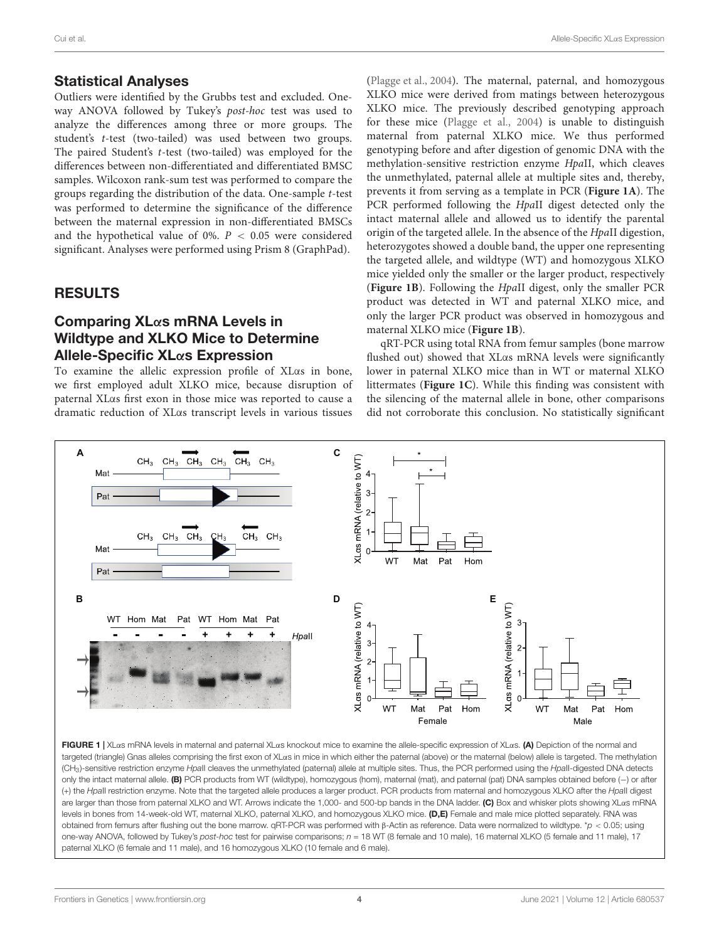#### Statistical Analyses

Outliers were identified by the Grubbs test and excluded. Oneway ANOVA followed by Tukey's post-hoc test was used to analyze the differences among three or more groups. The student's t-test (two-tailed) was used between two groups. The paired Student's t-test (two-tailed) was employed for the differences between non-differentiated and differentiated BMSC samples. Wilcoxon rank-sum test was performed to compare the groups regarding the distribution of the data. One-sample t-test was performed to determine the significance of the difference between the maternal expression in non-differentiated BMSCs and the hypothetical value of 0%.  $P < 0.05$  were considered significant. Analyses were performed using Prism 8 (GraphPad).

#### **RESULTS**

## Comparing XLαs mRNA Levels in Wildtype and XLKO Mice to Determine Allele-Specific XLαs Expression

To examine the allelic expression profile of XLαs in bone, we first employed adult XLKO mice, because disruption of paternal XLαs first exon in those mice was reported to cause a dramatic reduction of XLαs transcript levels in various tissues [\(Plagge et al.,](#page-9-20) [2004\)](#page-9-20). The maternal, paternal, and homozygous XLKO mice were derived from matings between heterozygous XLKO mice. The previously described genotyping approach for these mice [\(Plagge et al.,](#page-9-20) [2004\)](#page-9-20) is unable to distinguish maternal from paternal XLKO mice. We thus performed genotyping before and after digestion of genomic DNA with the methylation-sensitive restriction enzyme HpaII, which cleaves the unmethylated, paternal allele at multiple sites and, thereby, prevents it from serving as a template in PCR (**[Figure 1A](#page-3-0)**). The PCR performed following the HpaII digest detected only the intact maternal allele and allowed us to identify the parental origin of the targeted allele. In the absence of the HpaII digestion, heterozygotes showed a double band, the upper one representing the targeted allele, and wildtype (WT) and homozygous XLKO mice yielded only the smaller or the larger product, respectively (**[Figure 1B](#page-3-0)**). Following the HpaII digest, only the smaller PCR product was detected in WT and paternal XLKO mice, and only the larger PCR product was observed in homozygous and maternal XLKO mice (**[Figure 1B](#page-3-0)**).

qRT-PCR using total RNA from femur samples (bone marrow flushed out) showed that XLαs mRNA levels were significantly lower in paternal XLKO mice than in WT or maternal XLKO littermates (**[Figure 1C](#page-3-0)**). While this finding was consistent with the silencing of the maternal allele in bone, other comparisons did not corroborate this conclusion. No statistically significant



<span id="page-3-0"></span>FIGURE 1 | XLαs mRNA levels in maternal and paternal XLαs knockout mice to examine the allele-specific expression of XLαs. (A) Depiction of the normal and targeted (triangle) Gnas alleles comprising the first exon of XLαs in mice in which either the paternal (above) or the maternal (below) allele is targeted. The methylation (CH<sub>3</sub>)-sensitive restriction enzyme HpaII cleaves the unmethylated (paternal) allele at multiple sites. Thus, the PCR performed using the HpaII-digested DNA detects only the intact maternal allele. (B) PCR products from WT (wildtype), homozygous (hom), maternal (mat), and paternal (pat) DNA samples obtained before (-) or after (+) the HpaII restriction enzyme. Note that the targeted allele produces a larger product. PCR products from maternal and homozygous XLKO after the HpaII digest are larger than those from paternal XLKO and WT. Arrows indicate the 1,000- and 500-bp bands in the DNA ladder. (C) Box and whisker plots showing XLαs mRNA levels in bones from 14-week-old WT, maternal XLKO, paternal XLKO, and homozygous XLKO mice. (D,E) Female and male mice plotted separately. RNA was obtained from femurs after flushing out the bone marrow. qRT-PCR was performed with β-Actin as reference. Data were normalized to wildtype. \*p < 0.05; using one-way ANOVA, followed by Tukey's post-hoc test for pairwise comparisons;  $n = 18$  WT (8 female and 10 male), 16 maternal XLKO (5 female and 11 male), 17 paternal XLKO (6 female and 11 male), and 16 homozygous XLKO (10 female and 6 male).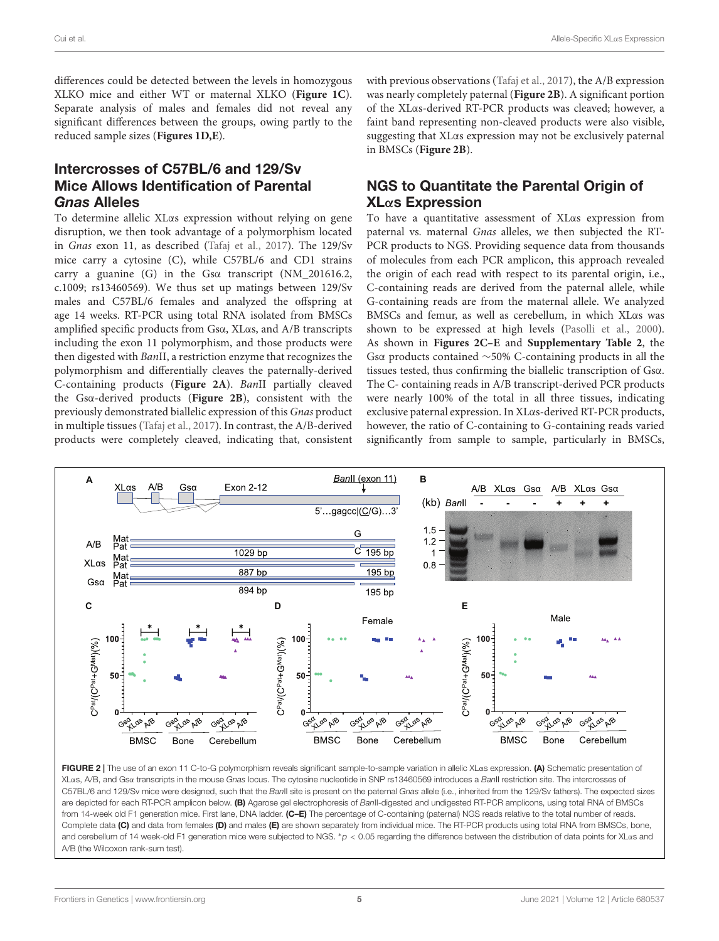differences could be detected between the levels in homozygous XLKO mice and either WT or maternal XLKO (**[Figure 1C](#page-3-0)**). Separate analysis of males and females did not reveal any significant differences between the groups, owing partly to the reduced sample sizes (**[Figures 1D,E](#page-3-0)**).

# Intercrosses of C57BL/6 and 129/Sv Mice Allows Identification of Parental Gnas Alleles

To determine allelic XLαs expression without relying on gene disruption, we then took advantage of a polymorphism located in Gnas exon 11, as described [\(Tafaj et al.,](#page-9-21) [2017\)](#page-9-21). The 129/Sv mice carry a cytosine (C), while C57BL/6 and CD1 strains carry a guanine (G) in the Gsα transcript (NM\_201616.2, c.1009; rs13460569). We thus set up matings between 129/Sv males and C57BL/6 females and analyzed the offspring at age 14 weeks. RT-PCR using total RNA isolated from BMSCs amplified specific products from Gsα, XLαs, and A/B transcripts including the exon 11 polymorphism, and those products were then digested with BanII, a restriction enzyme that recognizes the polymorphism and differentially cleaves the paternally-derived C-containing products (**[Figure 2A](#page-4-0)**). BanII partially cleaved the Gsα-derived products (**[Figure 2B](#page-4-0)**), consistent with the previously demonstrated biallelic expression of this Gnas product in multiple tissues [\(Tafaj et al.,](#page-9-21) [2017\)](#page-9-21). In contrast, the A/B-derived products were completely cleaved, indicating that, consistent with previous observations [\(Tafaj et al.,](#page-9-21) [2017\)](#page-9-21), the A/B expression was nearly completely paternal (**[Figure 2B](#page-4-0)**). A significant portion of the XLαs-derived RT-PCR products was cleaved; however, a faint band representing non-cleaved products were also visible, suggesting that XLαs expression may not be exclusively paternal in BMSCs (**[Figure 2B](#page-4-0)**).

# NGS to Quantitate the Parental Origin of XLαs Expression

To have a quantitative assessment of XLαs expression from paternal vs. maternal Gnas alleles, we then subjected the RT-PCR products to NGS. Providing sequence data from thousands of molecules from each PCR amplicon, this approach revealed the origin of each read with respect to its parental origin, i.e., C-containing reads are derived from the paternal allele, while G-containing reads are from the maternal allele. We analyzed BMSCs and femur, as well as cerebellum, in which XLαs was shown to be expressed at high levels [\(Pasolli et al.,](#page-9-24) [2000\)](#page-9-24). As shown in **[Figures 2C–E](#page-4-0)** and **[Supplementary Table 2](#page-8-4)**, the Gsα products contained ∼50% C-containing products in all the tissues tested, thus confirming the biallelic transcription of Gsα. The C- containing reads in A/B transcript-derived PCR products were nearly 100% of the total in all three tissues, indicating exclusive paternal expression. In XLαs-derived RT-PCR products, however, the ratio of C-containing to G-containing reads varied significantly from sample to sample, particularly in BMSCs,



<span id="page-4-0"></span>FIGURE 2 | The use of an exon 11 C-to-G polymorphism reveals significant sample-to-sample variation in allelic XLαs expression. (A) Schematic presentation of XLas, A/B, and Gsa transcripts in the mouse Gnas locus. The cytosine nucleotide in SNP rs13460569 introduces a BanII restriction site. The intercrosses of C57BL/6 and 129/Sv mice were designed, such that the BanII site is present on the paternal Gnas allele (i.e., inherited from the 129/Sv fathers). The expected sizes are depicted for each RT-PCR amplicon below. (B) Agarose gel electrophoresis of BanII-digested and undigested RT-PCR amplicons, using total RNA of BMSCs from 14-week old F1 generation mice. First lane, DNA ladder. (C-E) The percentage of C-containing (paternal) NGS reads relative to the total number of reads. Complete data (C) and data from females (D) and males (E) are shown separately from individual mice. The RT-PCR products using total RNA from BMSCs, bone, and cerebellum of 14 week-old F1 generation mice were subjected to NGS. \*p < 0.05 regarding the difference between the distribution of data points for XLas and A/B (the Wilcoxon rank-sum test).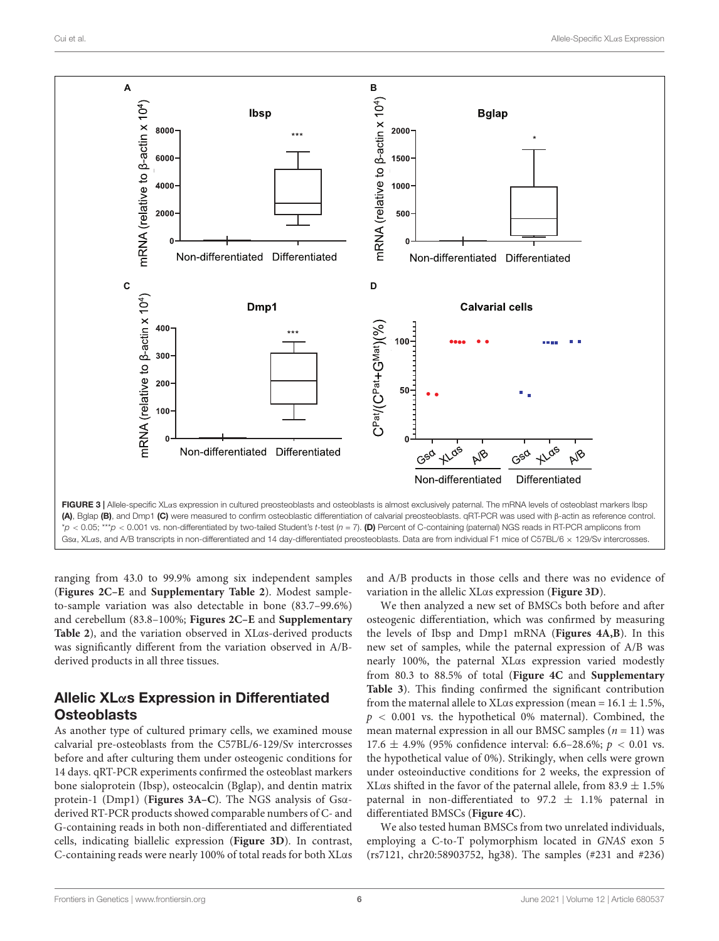

<span id="page-5-0"></span>ranging from 43.0 to 99.9% among six independent samples (**[Figures 2C–E](#page-4-0)** and **[Supplementary Table 2](#page-8-4)**). Modest sampleto-sample variation was also detectable in bone (83.7–99.6%) and cerebellum (83.8–100%; **[Figures 2C–E](#page-4-0)** and **[Supplementary](#page-8-4) [Table 2](#page-8-4)**), and the variation observed in XLαs-derived products was significantly different from the variation observed in A/Bderived products in all three tissues.

# Allelic XLαs Expression in Differentiated **Osteoblasts**

As another type of cultured primary cells, we examined mouse calvarial pre-osteoblasts from the C57BL/6-129/Sv intercrosses before and after culturing them under osteogenic conditions for 14 days. qRT-PCR experiments confirmed the osteoblast markers bone sialoprotein (Ibsp), osteocalcin (Bglap), and dentin matrix protein-1 (Dmp1) (**[Figures 3A–C](#page-5-0)**). The NGS analysis of Gsαderived RT-PCR products showed comparable numbers of C- and G-containing reads in both non-differentiated and differentiated cells, indicating biallelic expression (**[Figure 3D](#page-5-0)**). In contrast, C-containing reads were nearly 100% of total reads for both XLαs and A/B products in those cells and there was no evidence of variation in the allelic XLαs expression (**[Figure 3D](#page-5-0)**).

We then analyzed a new set of BMSCs both before and after osteogenic differentiation, which was confirmed by measuring the levels of Ibsp and Dmp1 mRNA (**[Figures 4A,B](#page-6-0)**). In this new set of samples, while the paternal expression of A/B was nearly 100%, the paternal XLαs expression varied modestly from 80.3 to 88.5% of total (**[Figure 4C](#page-6-0)** and **[Supplementary](#page-8-4) [Table 3](#page-8-4)**). This finding confirmed the significant contribution from the maternal allele to XLαs expression (mean =  $16.1 \pm 1.5\%$ ,  $p < 0.001$  vs. the hypothetical 0% maternal). Combined, the mean maternal expression in all our BMSC samples ( $n = 11$ ) was 17.6  $\pm$  4.9% (95% confidence interval: 6.6–28.6%;  $p < 0.01$  vs. the hypothetical value of 0%). Strikingly, when cells were grown under osteoinductive conditions for 2 weeks, the expression of XLαs shifted in the favor of the paternal allele, from  $83.9 \pm 1.5\%$ paternal in non-differentiated to 97.2  $\pm$  1.1% paternal in differentiated BMSCs (**[Figure 4C](#page-6-0)**).

We also tested human BMSCs from two unrelated individuals, employing a C-to-T polymorphism located in GNAS exon 5 (rs7121, chr20:58903752, hg38). The samples (#231 and #236)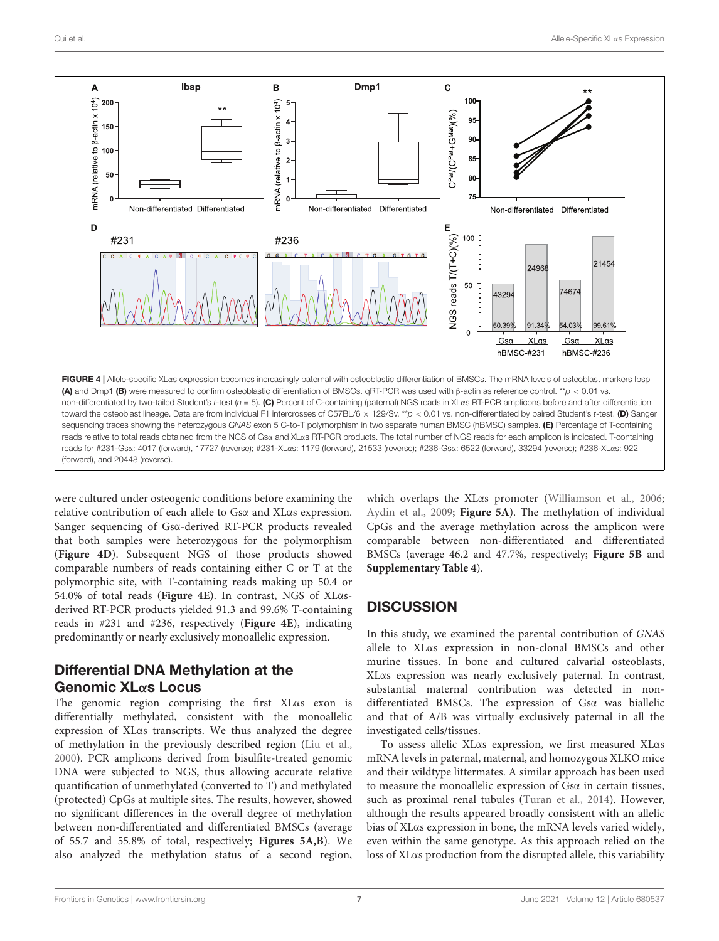

<span id="page-6-0"></span>were cultured under osteogenic conditions before examining the relative contribution of each allele to Gsα and XLαs expression. Sanger sequencing of Gsα-derived RT-PCR products revealed that both samples were heterozygous for the polymorphism (**[Figure 4D](#page-6-0)**). Subsequent NGS of those products showed comparable numbers of reads containing either C or T at the polymorphic site, with T-containing reads making up 50.4 or 54.0% of total reads (**[Figure 4E](#page-6-0)**). In contrast, NGS of XLαsderived RT-PCR products yielded 91.3 and 99.6% T-containing reads in #231 and #236, respectively (**[Figure 4E](#page-6-0)**), indicating predominantly or nearly exclusively monoallelic expression.

# Differential DNA Methylation at the Genomic XLαs Locus

The genomic region comprising the first XLαs exon is differentially methylated, consistent with the monoallelic expression of XLαs transcripts. We thus analyzed the degree of methylation in the previously described region [\(Liu et al.,](#page-9-23) [2000\)](#page-9-23). PCR amplicons derived from bisulfite-treated genomic DNA were subjected to NGS, thus allowing accurate relative quantification of unmethylated (converted to T) and methylated (protected) CpGs at multiple sites. The results, however, showed no significant differences in the overall degree of methylation between non-differentiated and differentiated BMSCs (average of 55.7 and 55.8% of total, respectively; **[Figures 5A,B](#page-7-0)**). We also analyzed the methylation status of a second region,

which overlaps the XLαs promoter [\(Williamson et al.,](#page-9-25) [2006;](#page-9-25) [Aydin et al.,](#page-8-6) [2009;](#page-8-6) **[Figure 5A](#page-7-0)**). The methylation of individual CpGs and the average methylation across the amplicon were comparable between non-differentiated and differentiated BMSCs (average 46.2 and 47.7%, respectively; **[Figure 5B](#page-7-0)** and **[Supplementary Table 4](#page-8-4)**).

# **DISCUSSION**

In this study, we examined the parental contribution of GNAS allele to XLαs expression in non-clonal BMSCs and other murine tissues. In bone and cultured calvarial osteoblasts, XLαs expression was nearly exclusively paternal. In contrast, substantial maternal contribution was detected in nondifferentiated BMSCs. The expression of Gsα was biallelic and that of A/B was virtually exclusively paternal in all the investigated cells/tissues.

To assess allelic XLαs expression, we first measured XLαs mRNA levels in paternal, maternal, and homozygous XLKO mice and their wildtype littermates. A similar approach has been used to measure the monoallelic expression of Gsα in certain tissues, such as proximal renal tubules [\(Turan et al.,](#page-9-26) [2014\)](#page-9-26). However, although the results appeared broadly consistent with an allelic bias of XLαs expression in bone, the mRNA levels varied widely, even within the same genotype. As this approach relied on the loss of XLαs production from the disrupted allele, this variability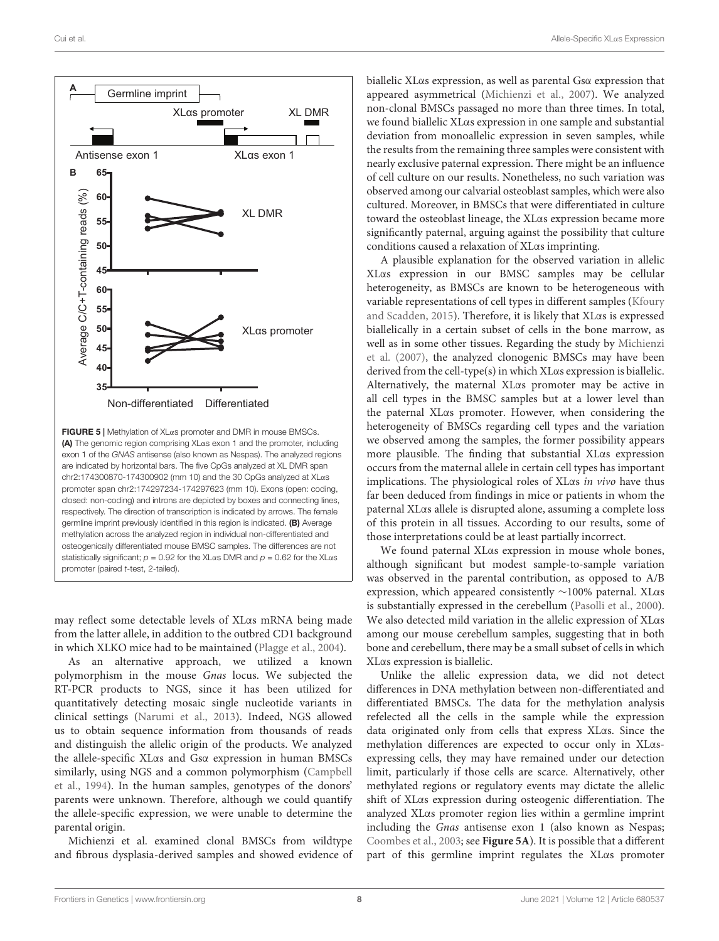

<span id="page-7-0"></span>may reflect some detectable levels of XLαs mRNA being made from the latter allele, in addition to the outbred CD1 background in which XLKO mice had to be maintained [\(Plagge et al.,](#page-9-20) [2004\)](#page-9-20).

As an alternative approach, we utilized a known polymorphism in the mouse Gnas locus. We subjected the RT-PCR products to NGS, since it has been utilized for quantitatively detecting mosaic single nucleotide variants in clinical settings [\(Narumi et al.,](#page-9-27) [2013\)](#page-9-27). Indeed, NGS allowed us to obtain sequence information from thousands of reads and distinguish the allelic origin of the products. We analyzed the allele-specific XLαs and Gsα expression in human BMSCs similarly, using NGS and a common polymorphism [\(Campbell](#page-8-7) [et al.,](#page-8-7) [1994\)](#page-8-7). In the human samples, genotypes of the donors' parents were unknown. Therefore, although we could quantify the allele-specific expression, we were unable to determine the parental origin.

Michienzi et al. examined clonal BMSCs from wildtype and fibrous dysplasia-derived samples and showed evidence of biallelic XLαs expression, as well as parental Gsα expression that appeared asymmetrical [\(Michienzi et al.,](#page-9-15) [2007\)](#page-9-15). We analyzed non-clonal BMSCs passaged no more than three times. In total, we found biallelic XLαs expression in one sample and substantial deviation from monoallelic expression in seven samples, while the results from the remaining three samples were consistent with nearly exclusive paternal expression. There might be an influence of cell culture on our results. Nonetheless, no such variation was observed among our calvarial osteoblast samples, which were also cultured. Moreover, in BMSCs that were differentiated in culture toward the osteoblast lineage, the XLαs expression became more significantly paternal, arguing against the possibility that culture conditions caused a relaxation of XLαs imprinting.

A plausible explanation for the observed variation in allelic XLαs expression in our BMSC samples may be cellular heterogeneity, as BMSCs are known to be heterogeneous with variable representations of cell types in different samples [\(Kfoury](#page-9-28) [and Scadden,](#page-9-28) [2015\)](#page-9-28). Therefore, it is likely that XLαs is expressed biallelically in a certain subset of cells in the bone marrow, as well as in some other tissues. Regarding the study by [Michienzi](#page-9-15) [et al.](#page-9-15) [\(2007\)](#page-9-15), the analyzed clonogenic BMSCs may have been derived from the cell-type(s) in which XLαs expression is biallelic. Alternatively, the maternal XLαs promoter may be active in all cell types in the BMSC samples but at a lower level than the paternal XLαs promoter. However, when considering the heterogeneity of BMSCs regarding cell types and the variation we observed among the samples, the former possibility appears more plausible. The finding that substantial XLαs expression occurs from the maternal allele in certain cell types has important implications. The physiological roles of XLαs in vivo have thus far been deduced from findings in mice or patients in whom the paternal XLαs allele is disrupted alone, assuming a complete loss of this protein in all tissues. According to our results, some of those interpretations could be at least partially incorrect.

We found paternal XLαs expression in mouse whole bones, although significant but modest sample-to-sample variation was observed in the parental contribution, as opposed to A/B expression, which appeared consistently  $\sim$ 100% paternal. XL $\alpha$ s is substantially expressed in the cerebellum [\(Pasolli et al.,](#page-9-24) [2000\)](#page-9-24). We also detected mild variation in the allelic expression of XLαs among our mouse cerebellum samples, suggesting that in both bone and cerebellum, there may be a small subset of cells in which XLαs expression is biallelic.

Unlike the allelic expression data, we did not detect differences in DNA methylation between non-differentiated and differentiated BMSCs. The data for the methylation analysis refelected all the cells in the sample while the expression data originated only from cells that express XLαs. Since the methylation differences are expected to occur only in XLαsexpressing cells, they may have remained under our detection limit, particularly if those cells are scarce. Alternatively, other methylated regions or regulatory events may dictate the allelic shift of XLαs expression during osteogenic differentiation. The analyzed XLαs promoter region lies within a germline imprint including the Gnas antisense exon 1 (also known as Nespas; [Coombes et al.,](#page-9-29) [2003;](#page-9-29) see **[Figure 5A](#page-7-0)**). It is possible that a different part of this germline imprint regulates the XLαs promoter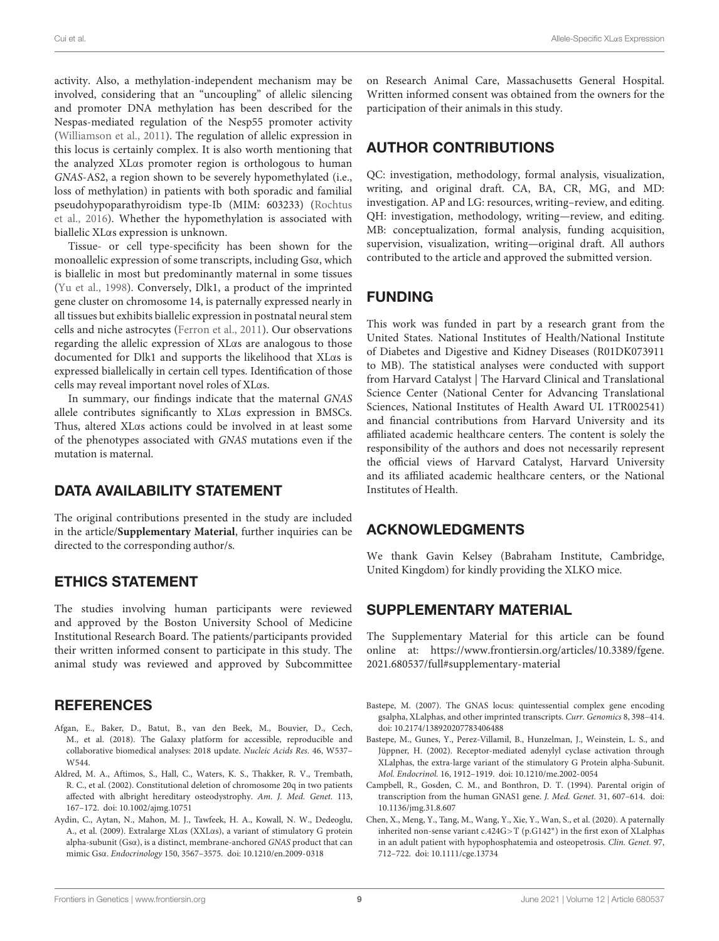activity. Also, a methylation-independent mechanism may be involved, considering that an "uncoupling" of allelic silencing and promoter DNA methylation has been described for the Nespas-mediated regulation of the Nesp55 promoter activity [\(Williamson et al.,](#page-9-30) [2011\)](#page-9-30). The regulation of allelic expression in this locus is certainly complex. It is also worth mentioning that the analyzed XLαs promoter region is orthologous to human GNAS-AS2, a region shown to be severely hypomethylated (i.e., loss of methylation) in patients with both sporadic and familial pseudohypoparathyroidism type-Ib (MIM: 603233) [\(Rochtus](#page-9-31) [et al.,](#page-9-31) [2016\)](#page-9-31). Whether the hypomethylation is associated with biallelic XLαs expression is unknown.

Tissue- or cell type-specificity has been shown for the monoallelic expression of some transcripts, including Gsα, which is biallelic in most but predominantly maternal in some tissues [\(Yu et al.,](#page-9-32) [1998\)](#page-9-32). Conversely, Dlk1, a product of the imprinted gene cluster on chromosome 14, is paternally expressed nearly in all tissues but exhibits biallelic expression in postnatal neural stem cells and niche astrocytes [\(Ferron et al.,](#page-9-33) [2011\)](#page-9-33). Our observations regarding the allelic expression of XLαs are analogous to those documented for Dlk1 and supports the likelihood that XLαs is expressed biallelically in certain cell types. Identification of those cells may reveal important novel roles of XLαs.

In summary, our findings indicate that the maternal GNAS allele contributes significantly to XLαs expression in BMSCs. Thus, altered XLαs actions could be involved in at least some of the phenotypes associated with GNAS mutations even if the mutation is maternal.

#### DATA AVAILABILITY STATEMENT

The original contributions presented in the study are included in the article/**[Supplementary Material](#page-8-4)**, further inquiries can be directed to the corresponding author/s.

#### ETHICS STATEMENT

The studies involving human participants were reviewed and approved by the Boston University School of Medicine Institutional Research Board. The patients/participants provided their written informed consent to participate in this study. The animal study was reviewed and approved by Subcommittee

#### **REFERENCES**

- <span id="page-8-5"></span>Afgan, E., Baker, D., Batut, B., van den Beek, M., Bouvier, D., Cech, M., et al. (2018). The Galaxy platform for accessible, reproducible and collaborative biomedical analyses: 2018 update. Nucleic Acids Res. 46, W537– W544.
- <span id="page-8-2"></span>Aldred, M. A., Aftimos, S., Hall, C., Waters, K. S., Thakker, R. V., Trembath, R. C., et al. (2002). Constitutional deletion of chromosome 20q in two patients affected with albright hereditary osteodystrophy. Am. J. Med. Genet. 113, 167–172. [doi: 10.1002/ajmg.10751](https://doi.org/10.1002/ajmg.10751)
- <span id="page-8-6"></span>Aydin, C., Aytan, N., Mahon, M. J., Tawfeek, H. A., Kowall, N. W., Dedeoglu, A., et al. (2009). Extralarge XLαs (XXLαs), a variant of stimulatory G protein alpha-subunit (Gsα), is a distinct, membrane-anchored GNAS product that can mimic Gsα. Endocrinology 150, 3567–3575. [doi: 10.1210/en.2009-0318](https://doi.org/10.1210/en.2009-0318)

on Research Animal Care, Massachusetts General Hospital. Written informed consent was obtained from the owners for the participation of their animals in this study.

## AUTHOR CONTRIBUTIONS

QC: investigation, methodology, formal analysis, visualization, writing, and original draft. CA, BA, CR, MG, and MD: investigation. AP and LG: resources, writing–review, and editing. QH: investigation, methodology, writing—review, and editing. MB: conceptualization, formal analysis, funding acquisition, supervision, visualization, writing—original draft. All authors contributed to the article and approved the submitted version.

# FUNDING

This work was funded in part by a research grant from the United States. National Institutes of Health/National Institute of Diabetes and Digestive and Kidney Diseases (R01DK073911 to MB). The statistical analyses were conducted with support from Harvard Catalyst | The Harvard Clinical and Translational Science Center (National Center for Advancing Translational Sciences, National Institutes of Health Award UL 1TR002541) and financial contributions from Harvard University and its affiliated academic healthcare centers. The content is solely the responsibility of the authors and does not necessarily represent the official views of Harvard Catalyst, Harvard University and its affiliated academic healthcare centers, or the National Institutes of Health.

#### ACKNOWLEDGMENTS

We thank Gavin Kelsey (Babraham Institute, Cambridge, United Kingdom) for kindly providing the XLKO mice.

#### <span id="page-8-4"></span>SUPPLEMENTARY MATERIAL

The Supplementary Material for this article can be found online at: [https://www.frontiersin.org/articles/10.3389/fgene.](https://www.frontiersin.org/articles/10.3389/fgene.2021.680537/full#supplementary-material) [2021.680537/full#supplementary-material](https://www.frontiersin.org/articles/10.3389/fgene.2021.680537/full#supplementary-material)

- <span id="page-8-0"></span>Bastepe, M. (2007). The GNAS locus: quintessential complex gene encoding gsalpha, XLalphas, and other imprinted transcripts. Curr. Genomics 8, 398–414. [doi: 10.2174/138920207783406488](https://doi.org/10.2174/138920207783406488)
- <span id="page-8-1"></span>Bastepe, M., Gunes, Y., Perez-Villamil, B., Hunzelman, J., Weinstein, L. S., and Jüppner, H. (2002). Receptor-mediated adenylyl cyclase activation through XLalphas, the extra-large variant of the stimulatory G Protein alpha-Subunit. Mol. Endocrinol. 16, 1912–1919. [doi: 10.1210/me.2002-0054](https://doi.org/10.1210/me.2002-0054)
- <span id="page-8-7"></span>Campbell, R., Gosden, C. M., and Bonthron, D. T. (1994). Parental origin of transcription from the human GNAS1 gene. J. Med. Genet. 31, 607–614. [doi:](https://doi.org/10.1136/jmg.31.8.607) [10.1136/jmg.31.8.607](https://doi.org/10.1136/jmg.31.8.607)
- <span id="page-8-3"></span>Chen, X., Meng, Y., Tang, M., Wang, Y., Xie, Y., Wan, S., et al. (2020). A paternally inherited non-sense variant c.424G>T (p.G142<sup>∗</sup> ) in the first exon of XLalphas in an adult patient with hypophosphatemia and osteopetrosis. Clin. Genet. 97, 712–722. [doi: 10.1111/cge.13734](https://doi.org/10.1111/cge.13734)